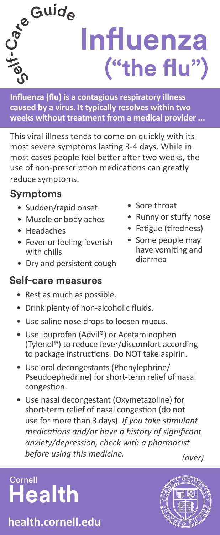

**Influenza (flu) is a contagious respiratory illness caused by a virus. It typically resolves within two weeks without treatment from a medical provider ...**

This viral illness tends to come on quickly with its most severe symptoms lasting 3-4 days. While in most cases people feel better after two weeks, the use of non-prescription medications can greatly reduce symptoms.

# **Symptoms**

- Sudden/rapid onset
- Muscle or body aches
- Headaches
- Fever or feeling feverish with chills
- Dry and persistent cough

#### **Self-care measures**

- Rest as much as possible.
- Drink plenty of non-alcoholic fluids.
- Use saline nose drops to loosen mucus.
- Use Ibuprofen (Advil®) or Acetaminophen (Tylenol®) to reduce fever/discomfort according to package instructions. Do NOT take aspirin.
- Use oral decongestants (Phenylephrine/ Pseudoephedrine) for short-term relief of nasal congestion.
- Use nasal decongestant (Oxymetazoline) for short-term relief of nasal congestion (do not use for more than 3 days). *If you take stimulant medications and/or have a history of significant anxiety/depression, check with a pharmacist before using this medicine. (over)*

**Cornell Health**

**health.cornell.edu**

- Sore throat
- Runny or stuffy nose
- Fatigue (tiredness)
- Some people may have vomiting and diarrhea